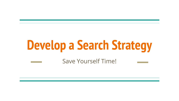# **Develop a Search Strategy**

Save Yourself Time!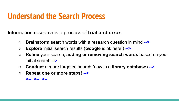### **Understand the Search Process**

Information research is a process of **trial and error**.

- **Brainstorm** search words with a research question in mind **-->**
- **Explore** initial search results (**Google** is ok here!) **-->**
- **Refine** your search, **adding or removing search words** based on your initial search **-->**
- **Conduct** a more targeted search (now in a **library database**) **-->**
- **Repeat one or more steps! -->**

**<-- <-- <--**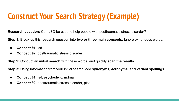## **Construct Your Search Strategy (Example)**

**Research question:** Can LSD be used to help people with posttraumatic stress disorder?

**Step 1:** Break up this research question into **two or three main concepts**. Ignore extraneous words.

- **Concept #1:** lsd
- **Concept #2: posttraumatic stress disorder**

**Step 2:** Conduct an **initial search** with these words, and quickly **scan the results**.

**Step 3:** Using information from your initial search, add **synonyms, acronyms, and variant spellings**.

- **Concept #1:** Isd, psychedelic, mdma
- **Concept #2:** posttraumatic stress disorder, ptsd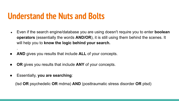#### **Understand the Nuts and Bolts**

- Even if the search engine/database you are using doesn't require you to enter **boolean operators** (essentially the words **AND/OR**), it is still using them behind the scenes. It will help you to **know the logic behind your search.**
- AND gives you results that include **ALL** of your concepts.
- **OR** gives you results that include **ANY** of your concepts.
- Essentially, **you are searching**:

.

(lsd **OR** psychedelic **OR** mdma) **AND** (posttraumatic stress disorder **OR** ptsd)